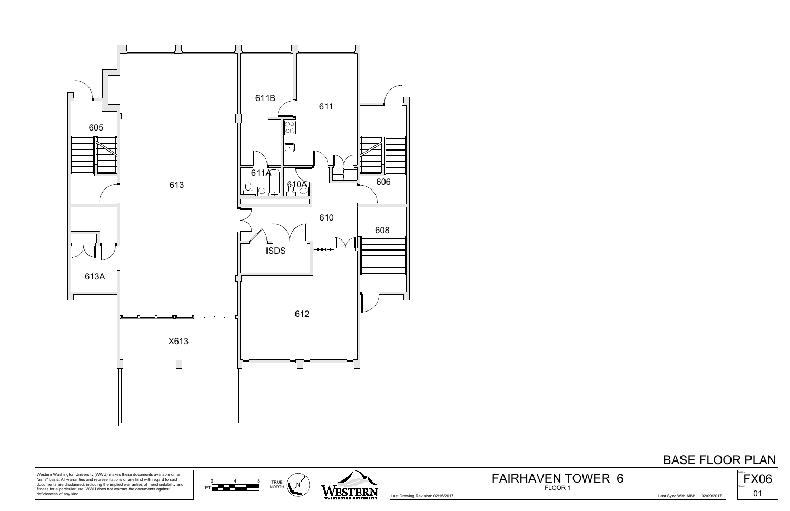

Last Drawing Revision: 02/15/2017 Last Sync With AIM: 02/09/2017



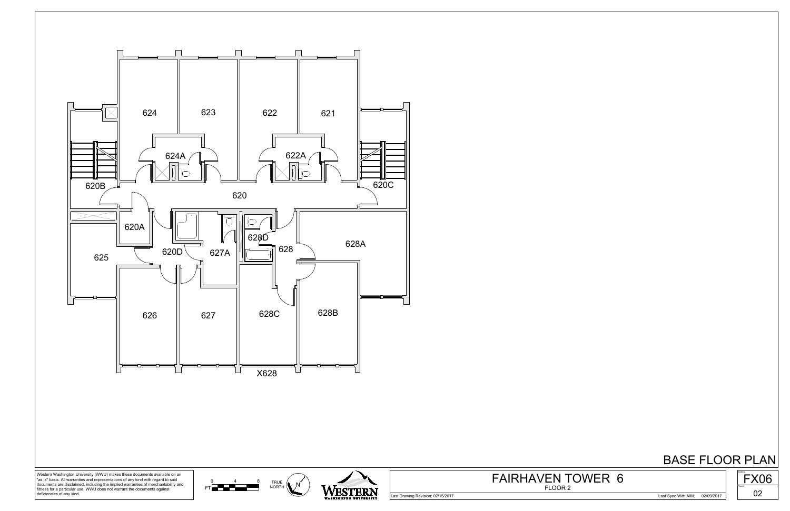





Western Washington University (WWU) makes these documents available on an "as is" basis. All warranties and representations of any kind with regard to said documents are disclaimed, including the implied warranties of merchantability and fitness for a particular use. WWU does not warrant the documents against deficiencies of any kind.

Last Drawing Revision: 02/15/2017 Last Sync With AIM: 02/09/2017



FLOOR 2 FAIRHAVEN TOWER 6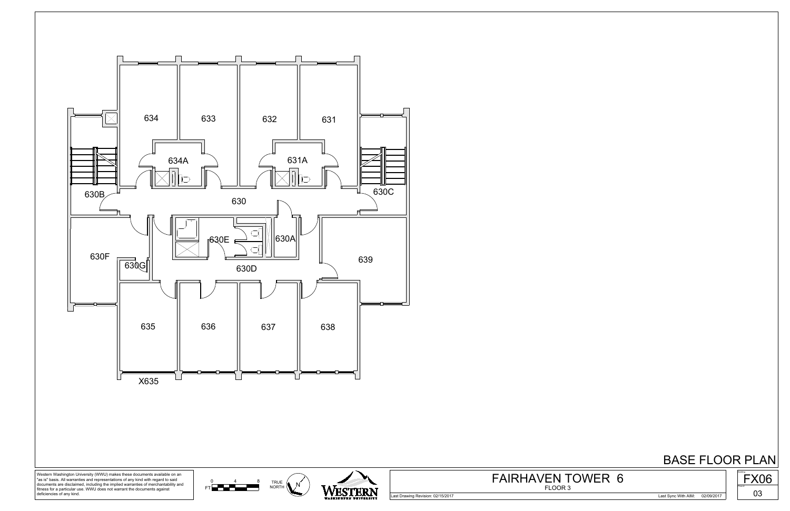

Last Drawing Revision: 02/15/2017 Last Sync With AIM: 02/09/2017



FLOOR 3 FAIRHAVEN TOWER 6